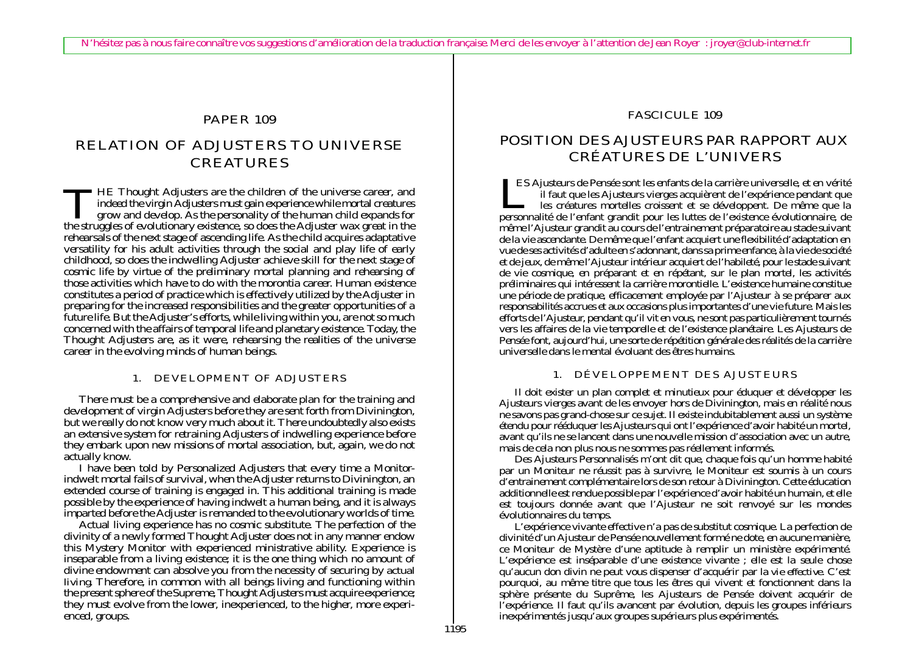# PAPER 109

# RELATION OF ADJUSTERS TO UNIVERSE **CREATURES**

THE Thought Adjusters are the children of the universe career, and indeed the virgin Adjusters must gain experience while mortal creatures grow and develop. As the personality of the human child expands for the struggles of evolutionary existence, so does the Adjuster wax great in the rehearsals of the next stage of ascending life. As the child acquires adaptative versatility for his adult activities through the social and play life of early childhood, so does the indwelling Adjuster achieve skill for the next stage of cosmic life by virtue of the preliminary mortal planning and rehearsing of those activities which have to do with the morontia career. Human existence constitutes a period of practice which is effectively utilized by the Adjuster in preparing for the increased responsibilities and the greater opportunities of a future life. But the Adjuster's efforts, while living within you, are not so much concerned with the affairs of temporal life and planetary existence. Today, the Thought Adjusters are, as it were, rehearsing the realities of the universe career in the evolving minds of human beings.

## 1. DEVELOPMENT OF ADJUSTERS

There must be a comprehensive and elaborate plan for the training and development of virgin Adjusters before they are sent forth from Divinington, but we really do not know very much about it. There undoubtedly also exists an extensive system for retraining Adjusters of indwelling experience before they embark upon new missions of mortal association, but, again, we do not actually know.

I have been told by Personalized Adjusters that every time a Monitorindwelt mortal fails of survival, when the Adjuster returns to Divinington, an extended course of training is engaged in. This additional training is made possible by the experience of having indwelt a human being, and it is always imparted before the Adjuster is remanded to the evolutionary worlds of time.

Actual living experience has no cosmic substitute. The perfection of the divinity of a newly formed Thought Adjuster does not in any manner endow this Mystery Monitor with experienced ministrative ability. Experience is inseparable from a living existence; it is the one thing which no amount of divine endowment can absolve you from the necessity of securing by *actual living*. Therefore, in common with all beings living and functioning within the present sphere of the Supreme, Thought Adjusters must acquire experience; they must evolve from the lower, inexperienced, to the higher, more experienced, groups.

## FASCICULE 109

# POSITION DES AJUSTEURS PAR RAPPORT AUX CRÉATURES DE L'UNIVERS

ES Ajusteurs de Pensée sont les enfants de la carrière universelle, et en vérité<br>
il faut que les Ajusteurs vierges acquièrent de l'expérience pendant que<br>
les créatures mortelles croissent et se développent. De même que l il faut que les Ajusteurs vierges acquièrent de l'expérience pendant que les créatures mortelles croissent et se développent. De même que la personnalité de l'enfant grandit pour les luttes de l'existence évolutionnaire, de même l'Ajusteur grandit au cours de l'entrainement préparatoire au stade suivant de la vie ascendante. De même que l'enfant acquiert une flexibilité d'adaptation en vue de ses activités d'adulte en s'adonnant, dans sa prime enfance, à la vie de société et de jeux, de même l'Ajusteur intérieur acquiert de l'habileté, pour le stade suivant de vie cosmique, en préparant et en répétant, sur le plan mortel, les activités préliminaires qui intéressent la carrière morontielle. L'existence humaine constitue une période de pratique, efficacement employée par l'Ajusteur à se préparer aux responsabilités accrues et aux occasions plus importantes d'une vie future. Mais les efforts de l'Ajusteur, pendant qu'il vit en vous, ne sont pas particulièrement tournés vers les affaires de la vie temporelle et de l'existence planétaire. Les Ajusteurs de Pensée font, aujourd'hui, une sorte de répétition générale des réalités de la carrière universelle dans le mental évoluant des êtres humains.

## 1. DÉVELOPPEMENT DES AJUSTEURS

Il doit exister un plan complet et minutieux pour éduquer et développer les Ajusteurs vierges avant de les envoyer hors de Divinington, mais en réalité nous ne savons pas grand-chose sur ce sujet. Il existe indubitablement aussi un système étendu pour rééduquer les Ajusteurs qui ont l'expérience d'avoir habité un mortel, avant qu'ils ne se lancent dans une nouvelle mission d'association avec un autre, mais de cela non plus nous ne sommes pas réellement informés.

Des Ajusteurs Personnalisés m'ont dit que, chaque fois qu'un homme habité par un Moniteur ne réussit pas à survivre, le Moniteur est soumis à un cours d'entrainement complémentaire lors de son retour à Divinington. Cette éducation additionnelle est rendue possible par l'expérience d'avoir habité un humain, et elle est toujours donnée avant que l'Ajusteur ne soit renvoyé sur les mondes évolutionnaires du temps.

L'expérience vivante effective n'a pas de substitut cosmique. La perfection de divinité d'un Ajusteur de Pensée nouvellement formé ne dote, en aucune manière, ce Moniteur de Mystère d'une aptitude à remplir un ministère expérimenté. L'expérience est inséparable d'une existence vivante ; elle est la seule chose qu'aucun don divin ne peut vous dispenser d'acquérir par la *vie effective.* C'est pourquoi, au même titre que tous les êtres qui vivent et fonctionnent dans la sphère présente du Suprême, les Ajusteurs de Pensée doivent acquérir de l'expérience. Il faut qu'ils avancent par évolution, depuis les groupes inférieurs inexpérimentés jusqu'aux groupes supérieurs plus expérimentés.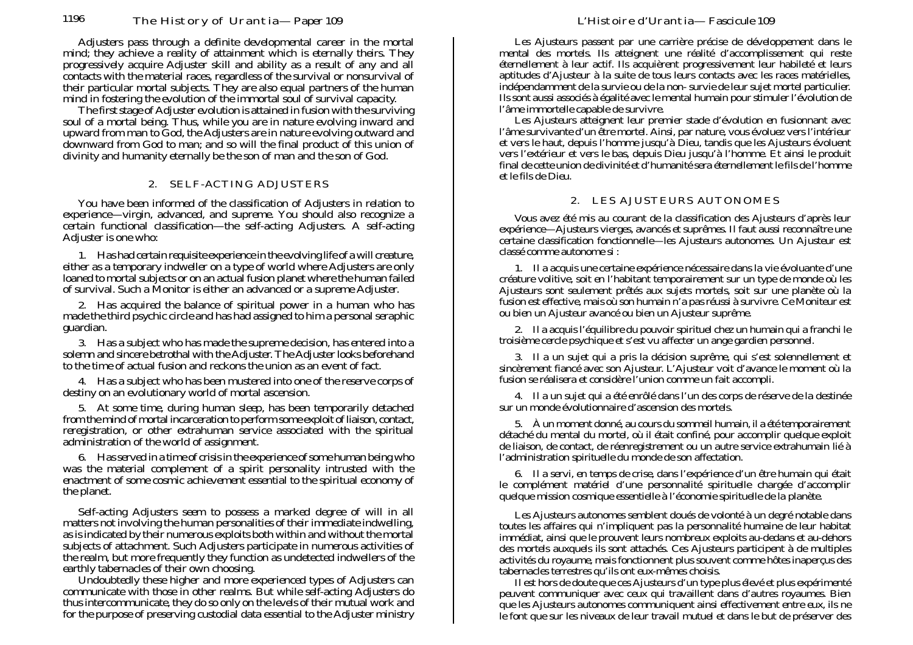Adjusters pass through a definite developmental career in the mortal mind; they achieve a reality of attainment which is eternally theirs. They progressively acquire Adjuster skill and ability as a result of any and all contacts with the material races, regardless of the survival or nonsurvival of their particular mortal subjects. They are also equal partners of the human mind in fostering the evolution of the immortal soul of survival capacity.

The first stage of Adjuster evolution is attained in fusion with the surviving soul of a mortal being. Thus, while you are in nature evolving inward and upward from man to God, the Adjusters are in nature evolving outward and downward from God to man; and so will the final product of this union of divinity and humanity eternally be the son of man and the son of God.

#### 2. SELF-ACTING ADJUSTERS

You have been informed of the classification of Adjusters in relation to experience—virgin, advanced, and supreme. You should also recognize a certain functional classification—the self-acting Adjusters. A self-acting Adjuster is one who:

1. Has had certain requisite experience in the evolving life of a will creature, either as a temporary indweller on a type of world where Adjusters are only loaned to mortal subjects or on an actual fusion planet where the human failed of survival. Such a Monitor is either an advanced or a supreme Adjuster.

2. Has acquired the balance of spiritual power in a human who has made the third psychic circle and has had assigned to him a personal seraphic guardian.

3. Has a subject who has made the supreme decision, has entered into a solemn and sincere betrothal with the Adjuster. The Adjuster looks beforehand to the time of actual fusion and reckons the union as an event of fact.

4. Has a subject who has been mustered into one of the reserve corps of destiny on an evolutionary world of mortal ascension.

5. At some time, during human sleep, has been temporarily detached from the mind of mortal incarceration to perform some exploit of liaison, contact, reregistration, or other extrahuman service associated with the spiritual administration of the world of assignment.

6. Has served in a time of crisis in the experience of some human being who was the material complement of a spirit personality intrusted with the enactment of some cosmic achievement essential to the spiritual economy of the planet.

Self-acting Adjusters seem to possess a marked degree of will in all matters not involving the human personalities of their immediate indwelling, as is indicated by their numerous exploits both within and without the mortal subjects of attachment. Such Adjusters participate in numerous activities of the realm, but more frequently they function as undetected indwellers of the earthly tabernacles of their own choosing.

Undoubtedly these higher and more experienced types of Adjusters can communicate with those in other realms. But while self-acting Adjusters do thus intercommunicate, they do so only on the levels of their mutual work and for the purpose of preserving custodial data essential to the Adjuster ministry

Les Ajusteurs passent par une carrière précise de développement dans le mental des mortels. Ils atteignent une réalité d'accomplissement qui reste éternellement à leur actif. Ils acquièrent progressivement leur habileté et leurs aptitudes d'Ajusteur à la suite de tous leurs contacts avec les races matérielles, indépendamment de la survie ou de la non- survie de leur sujet mortel particulier. Ils sont aussi associés à égalité avec le mental humain pour stimuler l'évolution de l'âme immortelle capable de survivre.

Les Ajusteurs atteignent leur premier stade d'évolution en fusionnant avec l'âme survivante d'un être mortel. Ainsi, par nature, vous évoluez vers l'intérieur et vers le haut, depuis l'homme jusqu'à Dieu, tandis que les Ajusteurs évoluent vers l'extérieur et vers le bas, depuis Dieu jusqu'à l'homme. Et ainsi le produit final de cette union de divinité et d'humanité sera éternellement le fils de l'homme et le fils de Dieu.

#### 2. LES AJUSTEURS AUTONOMES

Vous avez été mis au courant de la classification des Ajusteurs d'après leur expérience—Ajusteurs vierges, avancés et suprêmes. Il faut aussi reconnaître une certaine classification fonctionnelle—les Ajusteurs autonomes. Un Ajusteur est classé comme autonome si :

1. Il a acquis une certaine expérience nécessaire dans la vie évoluante d'une créature volitive, soit en l'habitant temporairement sur un type de monde où les Ajusteurs sont seulement prêtés aux sujets mortels, soit sur une planète où la fusion est effective, mais où son humain n'a pas réussi à survivre. Ce Moniteur est ou bien un Ajusteur avancé ou bien un Ajusteur suprême.

2. Il a acquis l'équilibre du pouvoir spirituel chez un humain qui a franchi le troisième cercle psychique et s'est vu affecter un ange gardien personnel.

3. Il a un sujet qui a pris la décision suprême, qui s'est solennellement et sincèrement fiancé avec son Ajusteur. L'Ajusteur voit d'avance le moment où la fusion se réalisera et considère l'union comme un fait accompli.

4. Il a un sujet qui a été enrôlé dans l'un des corps de réserve de la destinée sur un monde évolutionnaire d'ascension des mortels.

5. À un moment donné, au cours du sommeil humain, il a été temporairement détaché du mental du mortel, où il était confiné, pour accomplir quelque exploit de liaison, de contact, de réenregistrement ou un autre service extrahumain lié à l'administration spirituelle du monde de son affectation.

6. Il a servi, en temps de crise, dans l'expérience d'un être humain qui était le complément matériel d'une personnalité spirituelle chargée d'accomplir quelque mission cosmique essentielle à l'économie spirituelle de la planète.

Les Ajusteurs autonomes semblent doués de volonté à un degré notable dans toutes les affaires qui n'impliquent pas la personnalité humaine de leur habitat immédiat, ainsi que le prouvent leurs nombreux exploits au-dedans et au-dehors des mortels auxquels ils sont attachés. Ces Ajusteurs participent à de multiples activités du royaume, mais fonctionnent plus souvent comme hôtes inaperçus des tabernacles terrestres qu'ils ont eux-mêmes choisis.

Il est hors de doute que ces Ajusteurs d'un type plus élevé et plus expérimenté peuvent communiquer avec ceux qui travaillent dans d'autres royaumes. Bien que les Ajusteurs autonomes communiquent ainsi effectivement entre eux, ils ne le font que sur les niveaux de leur travail mutuel et dans le but de préserver des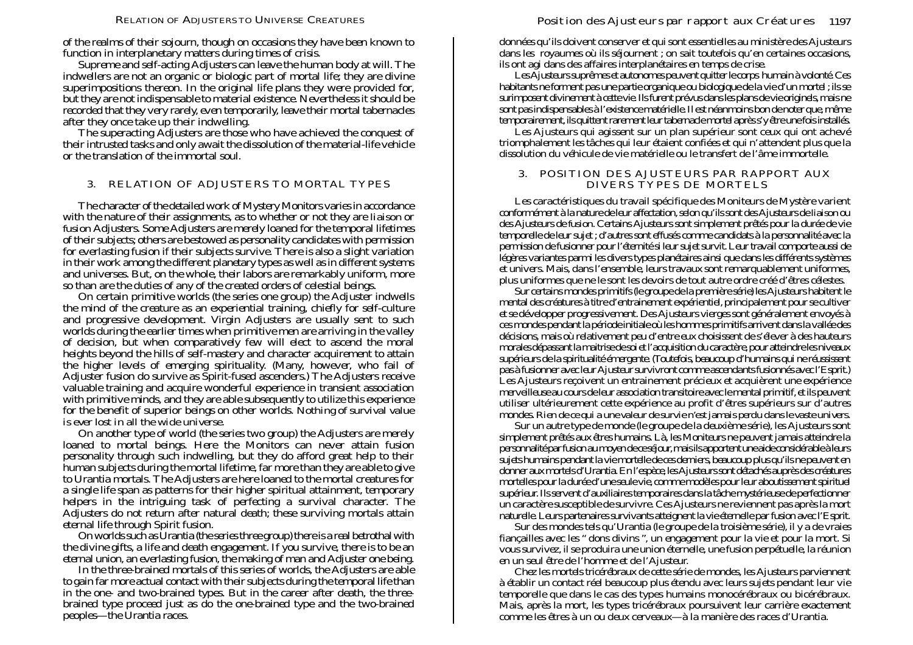of the realms of their sojourn, though on occasions they have been known to function in interplanetary matters during times of crisis.

Supreme and self-acting Adjusters can leave the human body at will. The indwellers are not an organic or biologic part of mortal life; they are divine superimpositions thereon. In the original life plans they were provided for, but they are not indispensable to material existence. Nevertheless it should be recorded that they very rarely, even temporarily, leave their mortal tabernacles after they once take up their indwelling.

The superacting Adjusters are those who have achieved the conquest of their intrusted tasks and only await the dissolution of the material-life vehicle or the translation of the immortal soul.

### 3. RELATION OF ADJUSTERS TO MORTAL TYPES

The character of the detailed work of Mystery Monitors varies in accordance with the nature of their assignments, as to whether or not they are *liaison* or *fusion* Adjusters. Some Adjusters are merely loaned for the temporal lifetimes of their subjects; others are bestowed as personality candidates with permission for everlasting fusion if their subjects survive. There is also a slight variation in their work among the different planetary types as well as in different systems and universes. But, on the whole, their labors are remarkably uniform, more

so than are the duties of any of the created orders of celestial beings. On certain primitive worlds (the series one group) the Adjuster indwells the mind of the creature as an experiential training, chiefly for self-culture and progressive development. Virgin Adjusters are usually sent to such worlds during the earlier times when primitive men are arriving in the valley of decision, but when comparatively few will elect to ascend the moral the higher levels of emerging spirituality. (Many, however, who fail of Adjuster fusion do survive as Spirit-fused ascenders.) The Adjusters receive valuable training and acquire wonderful experience in transient association with primitive minds, and they are able subsequently to utilize this experience for the benefit of superior beings on other worlds. *Nothing of survival value is ever lost in all the wide universe.*

On another type of world (the series two group) the Adjusters are merely loaned to mortal beings. Here the Monitors can never attain fusion personality through such indwelling, but they do afford great help to their human subjects during the mortal lifetime, far more than they are able to give to Urantia mortals. The Adjusters are here loaned to the mortal creatures for a single life span as patterns for their higher spiritual attainment, temporary helpers in the intriguing task of perfecting a survival character. The Adjusters do not return after natural death; these surviving mortals attain

eternal life through Spirit fusion. On worlds such as Urantia (the series three group) there is a real betrothal with the divine gifts, a life and death engagement. If you survive, there is to be an eternal union, an everlasting fusion, the making of man and Adjuster one being.

In the three-brained mortals of this series of worlds, the Adjusters are able to gain far more actual contact with their subjects during the temporal life than in the one- and two-brained types. But in the career after death, the threebrained type proceed just as do the one-brained type and the two-brained peoples—the Urantia races.

données qu'ils doivent conserver et qui sont essentielles au ministère des Ajusteurs dans les royaumes où ils séjournent ; on sait toutefois qu'en certaines occasions, ils ont agi dans des affaires interplanétaires en temps de crise.

Les Ajusteurs suprêmes et autonomes peuvent quitter le corps humain à volonté. Ces habitants ne forment pas une partie organique ou biologique de la vie d'un mortel ; ils se surimposent divinement à cette vie. Ils furent prévus dans les plans de vie originels, mais ne sont pas indispensables à l'existence matérielle. Il est néanmoins bon de noter que, même temporairement, ils quittent rarement leur tabernacle mortel après s'y être une fois installés.

Les Ajusteurs qui agissent sur un plan supérieur sont ceux qui ont achevé triomphalement les tâches qui leur étaient confiées et qui n'attendent plus que la dissolution du véhicule de vie matérielle ou le transfert de l'âme immortelle.

#### 3. POSITION DES AJUSTEURS PAR RAPPORT AUX DIVERS TYPES DE MORTELS

Les caractéristiques du travail spécifique des Moniteurs de Mystère varient conformément à la nature de leur affectation, selon qu'ils sont des Ajusteurs de *liaison*ou des Ajusteurs de *fusion.* Certains Ajusteurs sont simplement prêtés pour la durée de vie temporelle de leur sujet ; d'autres sont effusés comme candidats à la personnalité avec la permission de fusionner pour l'éternité si leur sujet survit. Leur travail comporte aussi de légères variantes parmi les divers types planétaires ainsi que dans les différents systèmes et univers. Mais, dans l'ensemble, leurs travaux sont remarquablement uniformes, plus uniformes que ne le sont les devoirs de tout autre ordre créé d'êtres célestes.

Sur certains mondes primitifs (le groupe de la première série) les Ajusteurs habitent le mental des créatures à titre d'entrainement expérientiel, principalement pour se cultiver et se développer progressivement. Des Ajusteurs vierges sont généralement envoyés à ces mondes pendant la période initiale où les hommes primitifs arrivent dans la vallée des décisions, mais où relativement peu d'entre eux choisissent de s'élever à des hauteurs morales dépassant la maitrise de soi et l'acquisition du caractère, pour atteindre les niveaux supérieurs de la spiritualité émergente. (Toutefois, beaucoup d'humains qui ne réussissent pas à fusionner avec leur Ajusteur survivront comme ascendants fusionnés avec l'Esprit.) Les Ajusteurs reçoivent un entrainement précieux et acquièrent une expérience merveilleuse au cours de leur association transitoire avec le mental primitif, et ils peuvent utiliser ultérieurement cette expérience au profit d'êtres supérieurs sur d'autres mondes. *Rien de ce qui a une valeur de survie n'est jamais perdu dans le vaste univers.*

Sur un autre type de monde (le groupe de la deuxième série), les Ajusteurs sont simplement prêtés aux êtres humains. Là, les Moniteurs ne peuvent jamais atteindre la personnalité par fusion au moyen de ce séjour, mais ils apportent une aide considérable à leurs sujets humains pendant la vie mortelle de ces derniers, beaucoup plus qu'ils ne peuvent en donner aux mortels d'Urantia. En l'espèce, les Ajusteurs sont détachés auprès des créatures mortelles pour la durée d'une seule vie, comme modèles pour leur aboutissement spirituel supérieur. Ils servent d'auxiliaires temporaires dans la tâche mystérieuse de perfectionner un caractère susceptible de survivre. Ces Ajusteurs ne reviennent pas après la mort naturelle. Leurs partenaires survivants atteignent la vie éternelle par fusion avec l'Esprit.

Sur des mondes tels qu'Urantia (le groupe de la troisième série), il y a de vraies fiançailles avec les " dons divins ", un engagement pour la vie et pour la mort. Si vous survivez, il se produira une union éternelle, une fusion perpétuelle, la réunion en un seul être de l'homme et de l'Ajusteur.

Chez les mortels tricérébraux de cette série de mondes, les Ajusteurs parviennent à établir un contact réel beaucoup plus étendu avec leurs sujets pendant leur vie temporelle que dans le cas des types humains monocérébraux ou bicérébraux. Mais, après la mort, les types tricérébraux poursuivent leur carrière exactement comme les êtres à un ou deux cerveaux—à la manière des races d'Urantia.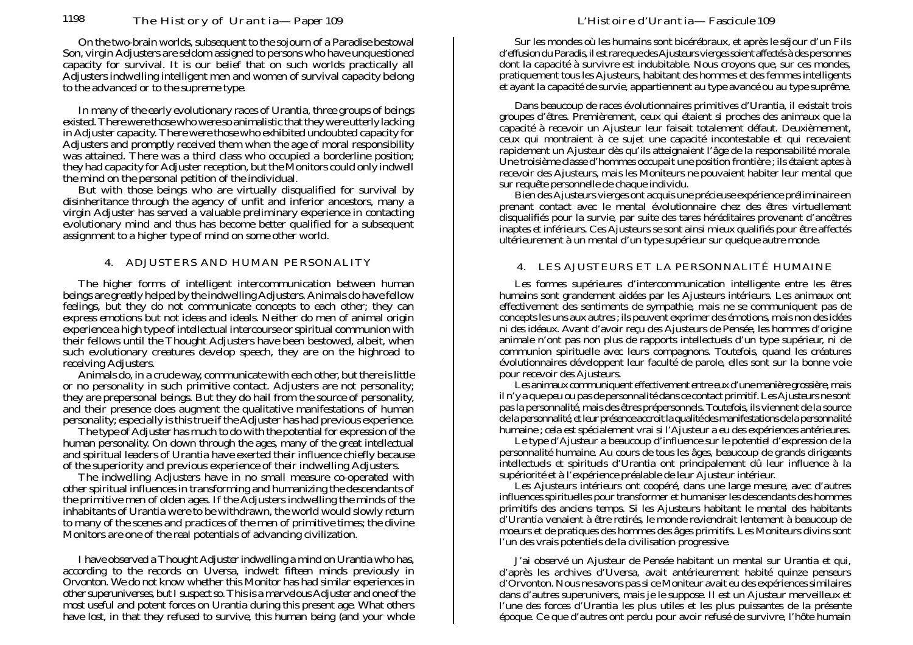On the two-brain worlds, subsequent to the sojourn of a Paradise bestowal Son, virgin Adjusters are seldom assigned to persons who have unquestioned capacity for survival. It is our belief that on such worlds practically all Adjusters indwelling intelligent men and women of survival capacity belong to the advanced or to the supreme type.

In many of the early evolutionary races of Urantia, three groups of beings existed. There were those who were so animalistic that they were utterly lacking in Adjuster capacity. There were those who exhibited undoubted capacity for Adjusters and promptly received them when the age of moral responsibility was attained. There was a third class who occupied a borderline position; they had capacity for Adjuster reception, but the Monitors could only indwell the mind on the personal petition of the individual.

But with those beings who are virtually disqualified for survival by disinheritance through the agency of unfit and inferior ancestors, many a virgin Adjuster has served a valuable preliminary experience in contacting evolutionary mind and thus has become better qualified for a subsequent assignment to a higher type of mind on some other world.

## 4. ADJUSTERS AND HUMAN PERSONALITY

The higher forms of intelligent intercommunication between human beings are greatly helped by the indwelling Adjusters. Animals do have fellow feelings, but they do not communicate concepts to each other; they can express emotions but not ideas and ideals. Neither do men of animal origin experience a high type of intellectual intercourse or spiritual communion with their fellows until the Thought Adjusters have been bestowed, albeit, when such evolutionary creatures develop speech, they are on the highroad to receiving Adjusters.

Animals do, in a crude way, communicate with each other, but there is little or no *personality* in such primitive contact. Adjusters are not personality; they are prepersonal beings. But they do hail from the source of personality, and their presence does augment the qualitative manifestations of human personality; especially is this true if the Adjuster has had previous experience.

The type of Adjuster has much to do with the potential for expression of the human personality. On down through the ages, many of the great intellectual and spiritual leaders of Urantia have exerted their influence chiefly because of the superiority and previous experience of their indwelling Adjusters.

The indwelling Adjusters have in no small measure co-operated with other spiritual influences in transforming and humanizing the descendants of the primitive men of olden ages. If the Adjusters indwelling the minds of the inhabitants of Urantia were to be withdrawn, the world would slowly return to many of the scenes and practices of the men of primitive times; the divine Monitors are one of the real potentials of advancing civilization.

I have observed a Thought Adjuster indwelling a mind on Urantia who has, according to the records on Uversa, indwelt fifteen minds previously in Orvonton. We do not know whether this Monitor has had similar experiences in other superuniverses, but I suspect so. This is a marvelous Adjuster and one of the have lost, in that they refused to survive, this human being (and your whole

## *Paper 109* L'Histoire d'Urantia— *Fascicule 109*

Sur les mondes où les humains sont bicérébraux, et après le séjour d'un Fils d'effusion du Paradis, il est rare que des Ajusteurs vierges soient affectés à des personnes dont la capacité à survivre est indubitable. Nous croyons que, sur ces mondes, pratiquement tous les Ajusteurs, habitant des hommes et des femmes intelligents et ayant la capacité de survie, appartiennent au type avancé ou au type suprême.

Dans beaucoup de races évolutionnaires primitives d'Urantia, il existait trois groupes d'êtres. Premièrement, ceux qui étaient si proches des animaux que la capacité à recevoir un Ajusteur leur faisait totalement défaut. Deuxièmement, ceux qui montraient à ce sujet une capacité incontestable et qui recevaient rapidement un Ajusteur dès qu'ils atteignaient l'âge de la responsabilité morale. Une troisième classe d'hommes occupait une position frontière ; ils étaient aptes à recevoir des Ajusteurs, mais les Moniteurs ne pouvaient habiter leur mental que sur requête personnelle de chaque individu.

Bien des Ajusteurs vierges ont acquis une précieuse expérience préliminaire en prenant contact avec le mental évolutionnaire chez des êtres virtuellement disqualifiés pour la survie, par suite des tares héréditaires provenant d'ancêtres inaptes et inférieurs. Ces Ajusteurs se sont ainsi mieux qualifiés pour être affectés ultérieurement à un mental d'un type supérieur sur quelque autre monde.

## 4. LES AJUSTEURS ET LA PERSONNALITÉ HUMAINE

Les formes supérieures d'intercommunication intelligente entre les êtres humains sont grandement aidées par les Ajusteurs intérieurs. Les animaux ont effectivement des sentiments de sympathie, mais ne se communiquent pas de concepts les uns aux autres ; ils peuvent exprimer des émotions, mais non des idées ni des idéaux. Avant d'avoir reçu des Ajusteurs de Pensée, les hommes d'origine animale n'ont pas non plus de rapports intellectuels d'un type supérieur, ni de communion spirituelle avec leurs compagnons. Toutefois, quand les créatures évolutionnaires développent leur faculté de parole, elles sont sur la bonne voie pour recevoir des Ajusteurs.

Les animaux communiquent effectivement entre eux d'une manière grossière, mais il n'y a que peu ou pas de *personnalit*é dans ce contact primitif. Les Ajusteurs ne sont pas la personnalité, mais des êtres prépersonnels. Toutefois, ils viennent de la source de la personnalité, et leur présence accroit la qualité des manifestations de la personnalité humaine ; cela est spécialement vrai si l'Ajusteur a eu des expériences antérieures.

Le type d'Ajusteur a beaucoup d'influence sur le potentiel d'expression de la personnalité humaine. Au cours de tous les âges, beaucoup de grands dirigeants intellectuels et spirituels d'Urantia ont principalement dû leur influence à la supériorité et à l'expérience préalable de leur Ajusteur intérieur.

Les Ajusteurs intérieurs ont coopéré, dans une large mesure, avec d'autres influences spirituelles pour transformer et humaniser les descendants des hommes primitifs des anciens temps. Si les Ajusteurs habitant le mental des habitants d'Urantia venaient à être retirés, le monde reviendrait lentement à beaucoup de moeurs et de pratiques des hommes des âges primitifs. Les Moniteurs divins sont l'un des vrais potentiels de la civilisation progressive.

J'ai observé un Ajusteur de Pensée habitant un mental sur Urantia et qui, d'après les archives d'Uversa, avait antérieurement habité quinze penseurs d'Orvonton. Nous ne savons pas si ce Moniteur avait eu des expériences similaires dans d'autres superunivers, mais je le suppose. Il est un Ajusteur merveilleux et l'une des forces d'Urantia les plus utiles et les plus puissantes de la présente époque. Ce que d'autres ont perdu pour avoir refusé de survivre, l'hôte humain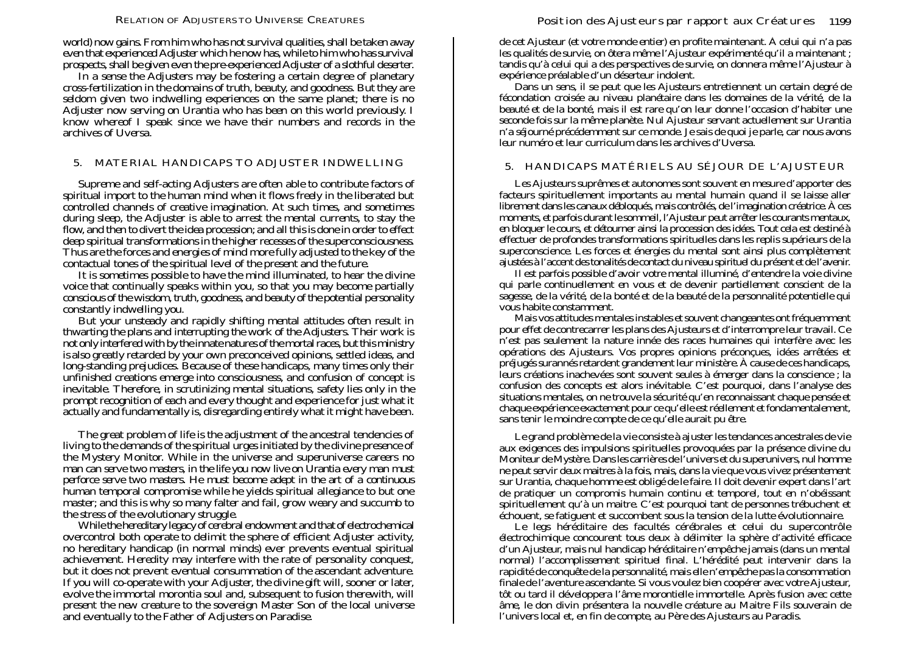#### RELATION OF ADJUSTERS TO UNIVERSE

world) now gains. From him who has not survival qualities, shall be taken away even that experienced Adjuster which he now has, while to him who has survival prospects, shall be given even the pre-experienced Adjuster of a slothful deserter.

In a sense the Adjusters may be fostering a certain degree of planetary cross-fertilization in the domains of truth, beauty, and goodness. But they are seldom given two indwelling experiences on the same planet; there is no Adjuster now serving on Urantia who has been on this world previously. I know whereof I speak since we have their numbers and records in the archives of Uversa.

#### 5. MATERIAL HANDICAPS TO ADJUSTER INDWELLING

Supreme and self-acting Adjusters are often able to contribute factors of spiritual import to the human mind when it flows freely in the liberated but controlled channels of creative imagination. At such times, and sometimes during sleep, the Adjuster is able to arrest the mental currents, to stay the flow, and then to divert the idea procession; and all this is done in order to effect deep spiritual transformations in the higher recesses of the superconsciousness. Thus are the forces and energies of mind more fully adjusted to the key of the contactual tones of the spiritual level of the present and the future.

It is sometimes possible to have the mind illuminated, to hear the divine voice that continually speaks within you, so that you may become partially conscious of the wisdom, truth, goodness, and beauty of the potential personality constantly indwelling you.

But your unsteady and rapidly shifting mental attitudes often result in thwarting the plans and interrupting the work of the Adjusters. Their work is not only interfered with by the innate natures of the mortal races, but this ministry is also greatly retarded by your own preconceived opinions, settled ideas, and long-standing prejudices. Because of these handicaps, many times only their unfinished creations emerge into consciousness, and confusion of concept is inevitable. Therefore, in scrutinizing mental situations, safety lies only in the prompt recognition of each and every thought and experience for just what it actually and fundamentally is, disregarding entirely what it might have been.

The great problem of life is the adjustment of the ancestral tendencies of living to the demands of the spiritual urges initiated by the divine presence of the Mystery Monitor. While in the universe and superuniverse careers no man can serve two masters, in the life you now live on Urantia every man must perforce serve two masters. He must become adept in the art of a continuous human temporal compromise while he yields spiritual allegiance to but one master; and this is why so many falter and fail, grow weary and succumb to the stress of the evolutionary struggle.

While the hereditary legacy of cerebral endowment and that of electrochemical overcontrol both operate to delimit the sphere of efficient Adjuster activity, no hereditary handicap (in normal minds) ever prevents eventual spiritual achievement. Heredity may interfere with the rate of personality conquest, but it does not prevent eventual consummation of the ascendant adventure. If you will co-operate with your Adjuster, the divine gift will, sooner or later, evolve the immortal morontia soul and, subsequent to fusion therewith, will present the new creature to the sovereign Master Son of the local universe and eventually to the Father of Adjusters on Paradise.

de cet Ajusteur (et votre monde entier) en profite maintenant. À celui qui n'a pas les qualités de survie, on ôtera même l'Ajusteur expérimenté qu'il a maintenant ; tandis qu'à celui qui a des perspectives de survie, on donnera même l'Ajusteur à expérience préalable d'un déserteur indolent.

Dans un sens, il se peut que les Ajusteurs entretiennent un certain degré de fécondation croisée au niveau planétaire dans les domaines de la vérité, de la beauté et de la bonté, mais il est rare qu'on leur donne l'occasion d'habiter une seconde fois sur la même planète. Nul Ajusteur servant actuellement sur Urantia n'a séjourné précédemment sur ce monde. Je sais de quoi je parle, car nous avons leur numéro et leur curriculum dans les archives d'Uversa.

## 5. HANDICAPS MATÉRIELS AU SÉJOUR DE L'AJUSTEUR

Les Ajusteurs suprêmes et autonomes sont souvent en mesure d'apporter des facteurs spirituellement importants au mental humain quand il se laisse aller librement dans les canaux débloqués, mais contrôlés, de l'imagination créatrice. À ces moments, et parfois durant le sommeil, l'Ajusteur peut arrêter les courants mentaux, en bloquer le cours, et détourner ainsi la procession des idées. Tout cela est destiné à effectuer de profondes transformations spirituelles dans les replis supérieurs de la superconscience. Les forces et énergies du mental sont ainsi plus complètement ajustées à l'accent des tonalités de contact du niveau spirituel du présent et de l'avenir.

Il est parfois possible d'avoir votre mental illuminé, d'entendre la voie divine qui parle continuellement en vous et de devenir partiellement conscient de la sagesse, de la vérité, de la bonté et de la beauté de la personnalité potentielle qui vous habite constamment.

Mais vos attitudes mentales instables et souvent changeantes ont fréquemment pour effet de contrecarrer les plans des Ajusteurs et d'interrompre leur travail. Ce n'est pas seulement la nature innée des races humaines qui interfère avec les opérations des Ajusteurs. Vos propres opinions préconçues, idées arrêtées et préjugés surannés retardent grandement leur ministère. À cause de ces handicaps, leurs créations inachevées sont souvent seules à émerger dans la conscience ; la confusion des concepts est alors inévitable. C'est pourquoi, dans l'analyse des situations mentales, on ne trouve la sécurité qu'en reconnaissant chaque pensée et chaque expérience exactement pour ce qu'elle est réellement et fondamentalement, sans tenir le moindre compte de ce qu'elle aurait pu être.

Le grand problème de la vie consiste à ajuster les tendances ancestrales de vie aux exigences des impulsions spirituelles provoquées par la présence divine du Moniteur de Mystère. Dans les carrières de l'univers et du superunivers, nul homme ne peut servir deux maitres à la fois, mais, dans la vie que vous vivez présentement sur Urantia, chaque homme est obligé de le faire. Il doit devenir expert dans l'art de pratiquer un compromis humain continu et temporel, tout en n'obéissant spirituellement qu'à un maitre. C'est pourquoi tant de personnes trébuchent et échouent, se fatiguent et succombent sous la tension de la lutte évolutionnaire.

Le legs héréditaire des facultés cérébrales et celui du supercontrôle électrochimique concourent tous deux à délimiter la sphère d'activité efficace d'un Ajusteur, mais nul handicap héréditaire n'empêche jamais (dans un mental normal) l'accomplissement spirituel final. L'hérédité peut intervenir dans la rapidité de conquête de la personnalité, mais elle n'empêche pas la consommation finale de l'aventure ascendante. Si vous voulez bien coopérer avec votre Ajusteur, tôt ou tard il développera l'âme morontielle immortelle. Après fusion avec cette âme, le don divin présentera la nouvelle créature au Maitre Fils souverain de l'univers local et, en fin de compte, au Père des Ajusteurs au Paradis.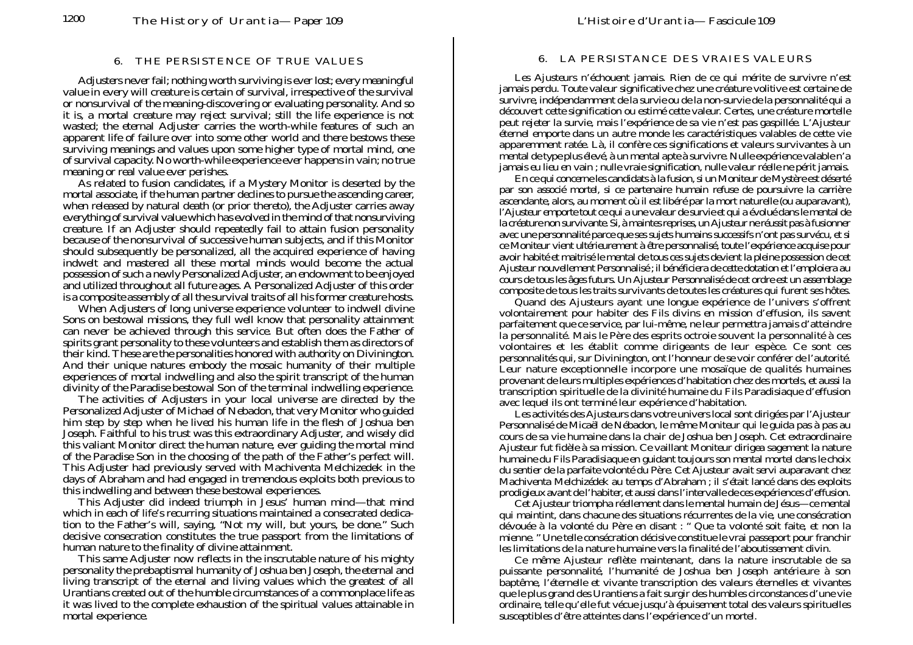#### 6. THE PERSISTENCE OF TRUE VALUES

Adjusters never fail; nothing worth surviving is ever lost; every meaningful value in every will creature is certain of survival, irrespective of the survival or nonsurvival of the meaning-discovering or evaluating personality. And so it is, a mortal creature may reject survival; still the life experience is not wasted; the eternal Adjuster carries the worth-while features of such an apparent life of failure over into some other world and there bestows these surviving meanings and values upon some higher type of mortal mind, one of survival capacity. No worth-while experience ever happens in vain; no true meaning or real value ever perishes.

As related to fusion candidates, if a Mystery Monitor is deserted by the mortal associate, if the human partner declines to pursue the ascending career, when released by natural death (or prior thereto), the Adjuster carries away everything of survival value which has evolved in the mind of that nonsurviving creature. If an Adjuster should repeatedly fail to attain fusion personality because of the nonsurvival of successive human subjects, and if this Monitor should subsequently be personalized, all the acquired experience of having indwelt and mastered all these mortal minds would become the actual possession of such a newly Personalized Adjuster, an endowment to be enjoyed and utilized throughout all future ages. A Personalized Adjuster of this order is a composite assembly of all the survival traits of all his former creature hosts.

When Adjusters of long universe experience volunteer to indwell divine Sons on bestowal missions, they full well know that personality attainment can never be achieved through this service. But often does the Father of spirits grant personality to these volunteers and establish them as directors of their kind. These are the personalities honored with authority on Divinington. And their unique natures embody the mosaic humanity of their multiple experiences of mortal indwelling and also the spirit transcript of the human divinity of the Paradise bestowal Son of the terminal indwelling experience.

The activities of Adjusters in your local universe are directed by the Personalized Adjuster of Michael of Nebadon, that very Monitor who guided him step by step when he lived his human life in the flesh of Joshua ben Joseph. Faithful to his trust was this extraordinary Adjuster, and wisely did this valiant Monitor direct the human nature, ever guiding the mortal mind of the Paradise Son in the choosing of the path of the Father's perfect will. This Adjuster had previously served with Machiventa Melchizedek in the days of Abraham and had engaged in tremendous exploits both previous to this indwelling and between these bestowal experiences.

This Adjuster did indeed triumph in Jesus' human mind—that mind which in each of life's recurring situations maintained a consecrated dedication to the Father's will, saying, "Not my will, but yours, be done." Such decisive consecration constitutes the true passport from the limitations of human nature to the finality of divine attainment.

This same Adjuster now reflects in the inscrutable nature of his mighty personality the prebaptismal humanity of Joshua ben Joseph, the eternal and living transcript of the eternal and living values which the greatest of all Urantians created out of the humble circumstances of a commonplace life as it was lived to the complete exhaustion of the spiritual values attainable in mortal experience.

#### 6. LA PERSISTANCE DES VRAIES VALEURS

Les Ajusteurs n'échouent jamais. Rien de ce qui mérite de survivre n'est jamais perdu. Toute valeur significative chez une créature volitive est certaine de survivre, indépendamment de la survie ou de la non-survie de la personnalité qui a découvert cette signification ou estimé cette valeur. Certes, une créature mortelle peut rejeter la survie, mais l'expérience de sa vie n'est pas gaspillée. L'Ajusteur éternel emporte dans un autre monde les caractéristiques valables de cette vie apparemment ratée. Là, il confère ces significations et valeurs survivantes à un mental de type plus élevé, à un mental apte à survivre. Nulle expérience valable n'a jamais eu lieu en vain ; nulle vraie signification, nulle valeur réelle ne périt jamais.

En ce qui concerne les candidats à la fusion, si un Moniteur de Mystère est déserté par son associé mortel, si ce partenaire humain refuse de poursuivre la carrière ascendante, alors, au moment où il est libéré par la mort naturelle (ou auparavant), l'Ajusteur emporte tout ce qui a une valeur de survie et qui a évolué dans le mental de la créature non survivante. Si, à maintes reprises, un Ajusteur ne réussit pas à fusionner avec une personnalité parce que ses sujets humains successifs n'ont pas survécu, et si ce Moniteur vient ultérieurement à être personnalisé, toute l'expérience acquise pour avoir habité et maitrisé le mental de tous ces sujets devient la pleine possession de cet Ajusteur nouvellement Personnalisé ; il bénéficiera de cette dotation et l'emploiera au cours de tous les âges futurs. Un Ajusteur Personnalisé de cet ordre est un assemblage composite de tous les traits survivants de toutes les créatures qui furent ses hôtes.

Quand des Ajusteurs ayant une longue expérience de l'univers s'offrent volontairement pour habiter des Fils divins en mission d'effusion, ils savent parfaitement que ce service, par lui-même, ne leur permettra jamais d'atteindre la personnalité. Mais le Père des esprits octroie souvent la personnalité à ces volontaires et les établit comme dirigeants de leur espèce. Ce sont ces personnalités qui, sur Divinington, ont l'honneur de se voir conférer de l'autorité. Leur nature exceptionnelle incorpore une mosaïque de qualités humaines provenant de leurs multiples expériences d'habitation chez des mortels, et aussi la transcription spirituelle de la divinité humaine du Fils Paradisiaque d'effusion avec lequel ils ont terminé leur expérience d'habitation.

Les activités des Ajusteurs dans votre univers local sont dirigées par l'Ajusteur Personnalisé de Micaël de Nébadon, le même Moniteur qui le guida pas à pas au cours de sa vie humaine dans la chair de Joshua ben Joseph. Cet extraordinaire Ajusteur fut fidèle à sa mission. Ce vaillant Moniteur dirigea sagement la nature humaine du Fils Paradisiaque en guidant toujours son mental mortel dans le choix du sentier de la parfaite volonté du Père. Cet Ajusteur avait servi auparavant chez Machiventa Melchizédek au temps d'Abraham ; il s'était lancé dans des exploits prodigieux avant de l'habiter, et aussi dans l'intervalle de ces expériences d'effusion.

Cet Ajusteur triompha réellement dans le mental humain de Jésus—ce mental qui maintint, dans chacune des situations récurrentes de la vie, une consécration dévouée à la volonté du Père en disant : " Que ta volonté soit faite, et non la mienne. " Une telle consécration décisive constitue le vrai passeport pour franchir les limitations de la nature humaine vers la finalité de l'aboutissement divin.

Ce même Ajusteur reflète maintenant, dans la nature inscrutable de sa puissante personnalité, l'humanité de Joshua ben Joseph antérieure à son baptême, l'éternelle et vivante transcription des valeurs éternelles et vivantes que le plus grand des Urantiens a fait surgir des humbles circonstances d'une vie ordinaire, telle qu'elle fut vécue jusqu'à épuisement total des valeurs spirituelles susceptibles d'être atteintes dans l'expérience d'un mortel.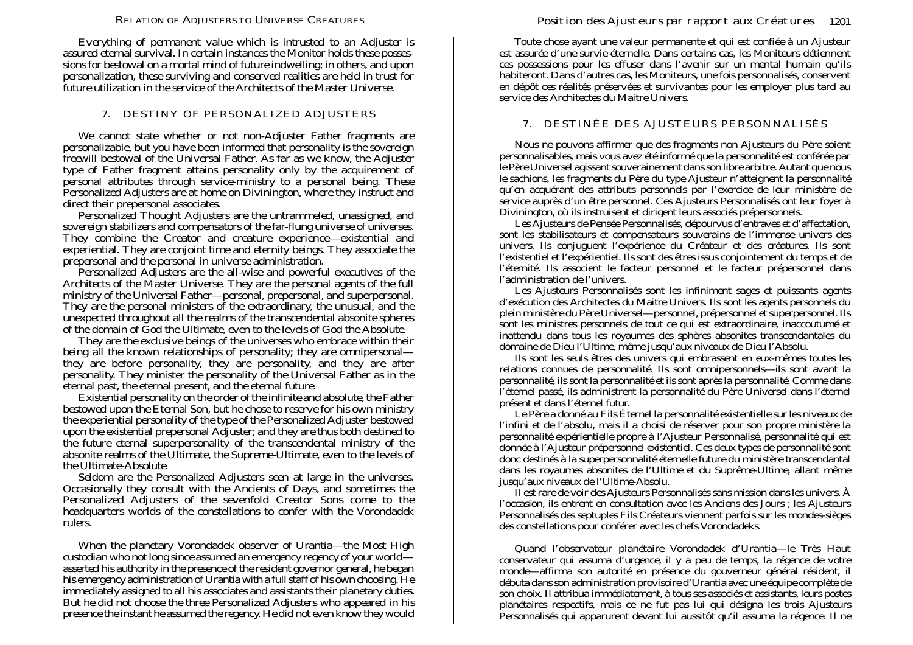#### RELATION OF ADJUSTERS TO UNIVERSE

Everything of permanent value which is intrusted to an Adjuster is assured eternal survival. In certain instances the Monitor holds these possessions for bestowal on a mortal mind of future indwelling; in others, and upon personalization, these surviving and conserved realities are held in trust for future utilization in the service of the Architects of the Master Universe.

#### 7. DESTINY OF PERSONALIZED ADJUSTERS

We cannot state whether or not non-Adjuster Father fragments are personalizable, but you have been informed that personality is the sovereign freewill bestowal of the Universal Father. As far as we know, the Adjuster type of Father fragment attains personality only by the acquirement of personal attributes through service-ministry to a personal being. These Personalized Adjusters are at home on Divinington, where they instruct and direct their prepersonal associates.

Personalized Thought Adjusters are the untrammeled, unassigned, and sovereign stabilizers and compensators of the far-flung universe of universes. They combine the Creator and creature experience—existential and experiential. They are conjoint time and eternity beings. They associate the prepersonal and the personal in universe administration.

Personalized Adjusters are the all-wise and powerful executives of the Architects of the Master Universe. They are the personal agents of the full ministry of the Universal Father—personal, prepersonal, and superpersonal. They are the personal ministers of the extraordinary, the unusual, and the unexpected throughout all the realms of the transcendental absonite spheres of the domain of God the Ultimate, even to the levels of God the Absolute.

They are the exclusive beings of the universes who embrace within their being all the known relationships of personality; they are omnipersonal they are before personality, they are personality, and they are after personality. They minister the personality of the Universal Father as in the eternal past, the eternal present, and the eternal future.

Existential personality on the order of the infinite and absolute, the Father bestowed upon the Eternal Son, but he chose to reserve for his own ministry the experiential personality of the type of the Personalized Adjuster bestowed upon the existential prepersonal Adjuster; and they are thus both destined to the future eternal superpersonality of the transcendental ministry of the absonite realms of the Ultimate, the Supreme-Ultimate, even to the levels of the Ultimate-Absolute.

Seldom are the Personalized Adjusters seen at large in the universes. Occasionally they consult with the Ancients of Days, and sometimes the Personalized Adjusters of the sevenfold Creator Sons come to the headquarters worlds of the constellations to confer with the Vorondadek rulers.

When the planetary Vorondadek observer of Urantia—the Most High custodian who not long since assumed an emergency regency of your world asserted his authority in the presence of the resident governor general, he began his emergency administration of Urantia with a full staff of his own choosing. He immediately assigned to all his associates and assistants their planetary duties. But he did not choose the three Personalized Adjusters who appeared in his presence the instant he assumed the regency. He did not even know they would

Toute chose ayant une valeur permanente et qui est confiée à un Ajusteur est assurée d'une survie éternelle. Dans certains cas, les Moniteurs détiennent ces possessions pour les effuser dans l'avenir sur un mental humain qu'ils habiteront. Dans d'autres cas, les Moniteurs, une fois personnalisés, conservent en dépôt ces réalités préservées et survivantes pour les employer plus tard au service des Architectes du Maitre Univers.

## 7. DESTINÉE DES AJUSTEURS PERSONNALISÉS

Nous ne pouvons affirmer que des fragments non Ajusteurs du Père soient personnalisables, mais vous avez été informé que la personnalité est conférée par le Père Universel agissant souverainement dans son libre arbitre. Autant que nous le sachions, les fragments du Père du type Ajusteur n'atteignent la personnalité qu'en acquérant des attributs personnels par l'exercice de leur ministère de service auprès d'un être personnel. Ces Ajusteurs Personnalisés ont leur foyer à Divinington, où ils instruisent et dirigent leurs associés prépersonnels.

Les Ajusteurs de Pensée Personnalisés, dépourvus d'entraves et d'affectation, sont les stabilisateurs et compensateurs souverains de l'immense univers des univers. Ils conjuguent l'expérience du Créateur et des créatures. Ils sont l'existentiel et l'expérientiel. Ils sont des êtres issus conjointement du temps et de l'éternité. Ils associent le facteur personnel et le facteur prépersonnel dans l'administration de l'univers.

Les Ajusteurs Personnalisés sont les infiniment sages et puissants agents d'exécution des Architectes du Maitre Univers. Ils sont les agents personnels du plein ministère du Père Universel—personnel, prépersonnel et superpersonnel. Ils sont les ministres personnels de tout ce qui est extraordinaire, inaccoutumé et inattendu dans tous les royaumes des sphères absonites transcendantales du domaine de Dieu l'Ultime, même jusqu'aux niveaux de Dieu l'Absolu.

Ils sont les seuls êtres des univers qui embrassent en eux-mêmes toutes les relations connues de personnalité. Ils sont omnipersonnels—ils sont avant la personnalité, ils sont la personnalité et ils sont après la personnalité. Comme dans l'éternel passé, ils administrent la personnalité du Père Universel dans l'éternel présent et dans l'éternel futur. Le Père a donné au Fils Éternel la personnalité existentielle sur les niveaux de

l'infini et de l'absolu, mais il a choisi de réserver pour son propre ministère la personnalité expérientielle propre à l'Ajusteur Personnalisé, personnalité qui est donnée à l'Ajusteur prépersonnel existentiel. Ces deux types de personnalité sont donc destinés à la superpersonnalité éternelle future du ministère transcendantal dans les royaumes absonites de l'Ultime et du Suprême-Ultime, allant même

jusqu'aux niveaux de l'Ultime-Absolu. Il est rare de voir des Ajusteurs Personnalisés sans mission dans les univers. À l'occasion, ils entrent en consultation avec les Anciens des Jours ; les Ajusteurs Personnalisés des septuples Fils Créateurs viennent parfois sur les mondes-sièges des constellations pour conférer avec les chefs Vorondadeks.

Quand l'observateur planétaire Vorondadek d'Urantia—le Très Haut conservateur qui assuma d'urgence, il y a peu de temps, la régence de votre monde—affirma son autorité en présence du gouverneur général résident, il débuta dans son administration provisoire d'Urantia avec une équipe complète de son choix. Il attribua immédiatement, à tous ses associés et assistants, leurs postes planétaires respectifs, mais ce ne fut pas lui qui désigna les trois Ajusteurs Personnalisés qui apparurent devant lui aussitôt qu'il assuma la régence. Il ne